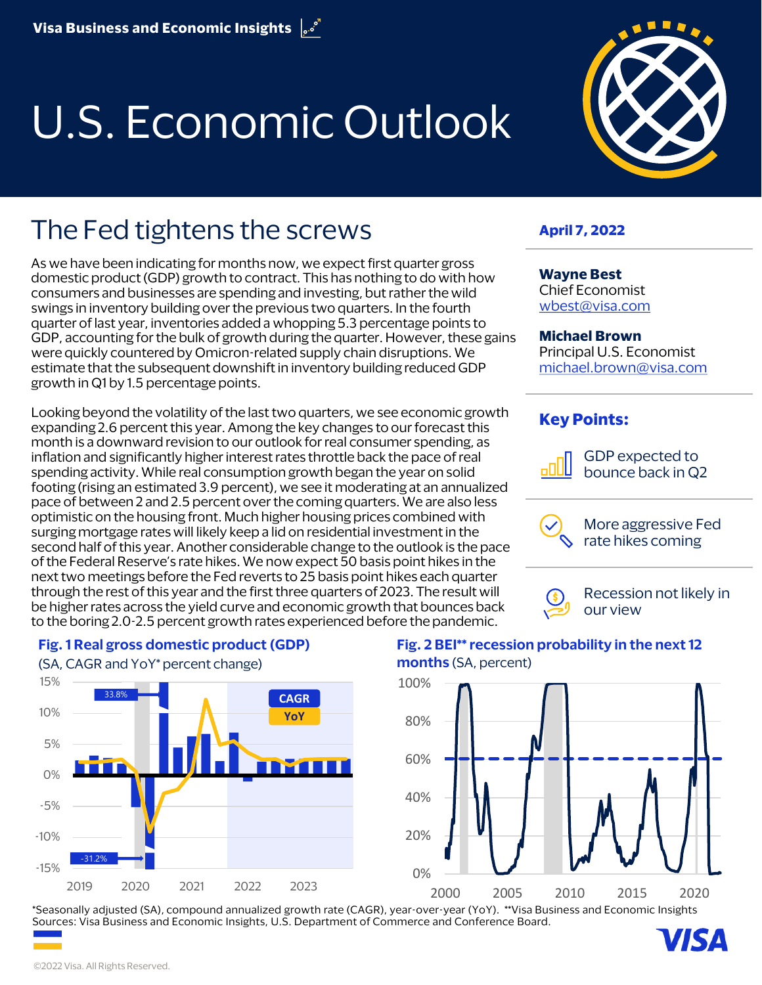# U.S. Economic Outlook



# The Fed tightens the screws

As we have been indicating for months now, we expect first quarter gross domestic product (GDP) growth to contract. This has nothing to do with how consumers and businesses are spending and investing, but rather the wild swings in inventory building over the previous two quarters. In the fourth quarter of last year, inventories added a whopping 5.3 percentage points to GDP, accounting for the bulk of growth during the quarter. However, these gains were quickly countered by Omicron-related supply chain disruptions. We estimate that the subsequent downshift in inventory building reduced GDP growth in Q1 by 1.5 percentage points.

Looking beyond the volatility of the last two quarters, we see economic growth expanding 2.6 percent this year. Among the key changes to our forecast this month is a downward revision to our outlook for real consumer spending, as inflation and significantly higher interest rates throttle back the pace of real spending activity. While real consumption growth began the year on solid footing (rising an estimated 3.9 percent), we see it moderating at an annualized pace of between 2 and 2.5 percent over the coming quarters. We are also less optimistic on the housing front. Much higher housing prices combined with surging mortgage rates will likely keep a lid on residential investment in the second half of this year. Another considerable change to the outlook is the pace of the Federal Reserve's rate hikes. We now expect 50 basis point hikes in the next two meetings before the Fed reverts to 25 basis point hikes each quarter through the rest of this year and the first three quarters of 2023. The result will be higher rates across the yield curve and economic growth that bounces back to the boring 2.0-2.5 percent growth rates experienced before the pandemic.

#### **April 7, 2022**

**Wayne Best** Chief Economist [wbest@visa.com](mailto:wbest@visa.com)

#### **Michael Brown**

Principal U.S. Economist [michael.brown@visa.com](mailto:michael.brown@visa.com)

#### **Key Points:**



GDP expected to bounce back in Q2



More aggressive Fed rate hikes coming



Recession not likely in



#### **Fig. 1 Real gross domestic product (GDP)**

#### **Fig. 2 BEI\*\* recession probability in the next 12 months** (SA, percent)



\*Seasonally adjusted (SA), compound annualized growth rate (CAGR), year-over-year (YoY). \*\*Visa Business and Economic Insights Sources: Visa Business and Economic Insights, U.S. Department of Commerce and Conference Board.

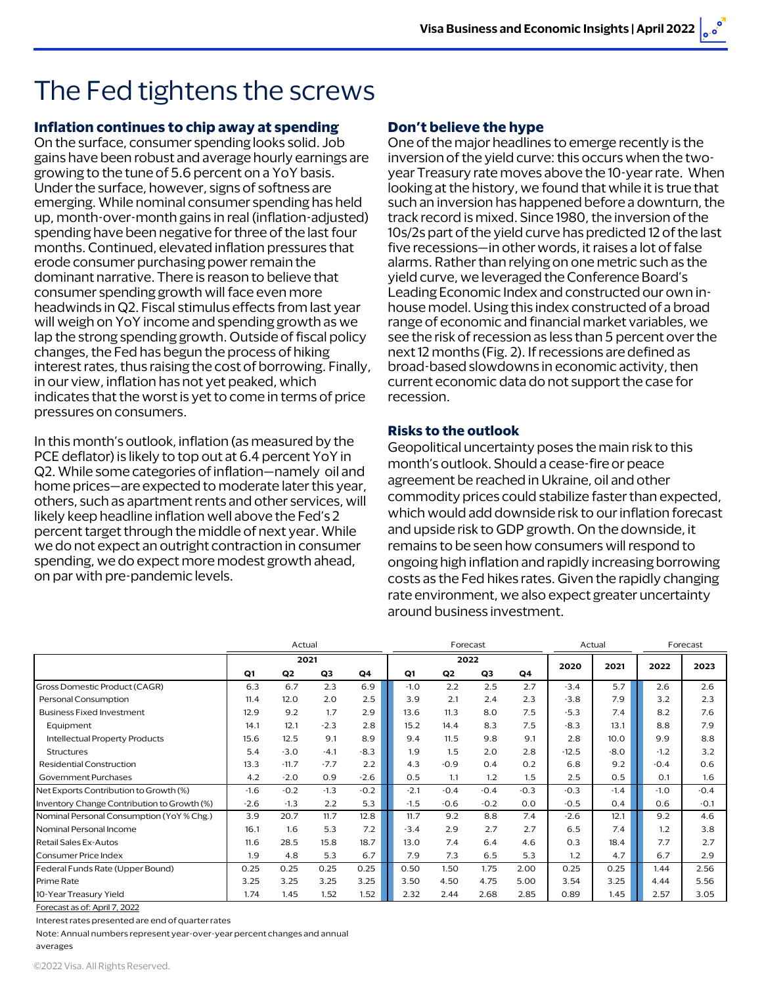# The Fed tightens the screws

#### **Inflation continues to chip away at spending**

On the surface, consumer spending looks solid. Job gains have been robust and average hourly earnings are growing to the tune of 5.6 percent on a YoY basis. Under the surface, however, signs of softness are emerging. While nominal consumer spending has held up, month-over-month gains in real (inflation-adjusted) spending have been negative for three of the last four months. Continued, elevated inflation pressures that erode consumer purchasing power remain the dominant narrative. There is reason to believe that consumer spending growth will face even more headwinds in Q2. Fiscal stimulus effects from last year will weigh on YoY income and spending growth as we lap the strong spending growth. Outside of fiscal policy changes, the Fed has begun the process of hiking interest rates, thus raising the cost of borrowing. Finally, in our view, inflation has not yet peaked, which indicates that the worst is yet to come in terms of price pressures on consumers.

In this month's outlook, inflation (as measured by the PCE deflator) is likely to top out at 6.4 percent YoY in Q2. While some categories of inflation—namely oil and home prices—are expected to moderate later this year, others, such as apartment rents and other services, will likely keep headline inflation well above the Fed's 2 percent target through the middle of next year. While we do not expect an outright contraction in consumer spending, we do expect more modest growth ahead, on par with pre-pandemic levels.

#### **Don't believe the hype**

One of the major headlines to emerge recently is the inversion of the yield curve: this occurs when the twoyear Treasury rate moves above the 10-year rate. When looking at the history, we found that while it is true that such an inversion has happened before a downturn, the track record is mixed. Since 1980, the inversion of the 10s/2s part of the yield curve has predicted 12 of the last five recessions—in other words, it raises a lot of false alarms. Rather than relying on one metric such as the yield curve, we leveraged the Conference Board's Leading Economic Index and constructed our own inhouse model. Using this index constructed of a broad range of economic and financial market variables, we see the risk of recession as less than 5 percent over the next 12 months (Fig. 2). If recessions are defined as broad-based slowdowns in economic activity, then current economic data do not support the case for recession.

#### **Risks to the outlook**

Geopolitical uncertainty poses the main risk to this month's outlook. Should a cease-fire or peace agreement be reached in Ukraine, oil and other commodity prices could stabilize faster than expected, which would add downside risk to our inflation forecast and upside risk to GDP growth. On the downside, it remains to be seen how consumers will respond to ongoing high inflation and rapidly increasing borrowing costs as the Fed hikes rates. Given the rapidly changing rate environment, we also expect greater uncertainty around business investment.

|                                             | Actual |         |        |        | Forecast |                |        |                | Actual  |        | Forecast |        |
|---------------------------------------------|--------|---------|--------|--------|----------|----------------|--------|----------------|---------|--------|----------|--------|
|                                             | 2021   |         |        |        | 2022     |                |        |                | 2020    | 2021   |          | 2023   |
|                                             | Q1     | Q2      | Q3     | Q4     | Q1       | Q <sub>2</sub> | Q3     | Q <sub>4</sub> |         |        | 2022     |        |
| Gross Domestic Product (CAGR)               | 6.3    | 6.7     | 2.3    | 6.9    | $-1.0$   | 2.2            | 2.5    | 2.7            | $-3.4$  | 5.7    | 2.6      | 2.6    |
| Personal Consumption                        | 11.4   | 12.0    | 2.0    | 2.5    | 3.9      | 2.1            | 2.4    | 2.3            | $-3.8$  | 7.9    | 3.2      | 2.3    |
| <b>Business Fixed Investment</b>            | 12.9   | 9.2     | 1.7    | 2.9    | 13.6     | 11.3           | 8.0    | 7.5            | $-5.3$  | 7.4    | 8.2      | 7.6    |
| Equipment                                   | 14.1   | 12.1    | $-2.3$ | 2.8    | 15.2     | 14.4           | 8.3    | 7.5            | $-8.3$  | 13.1   | 8.8      | 7.9    |
| Intellectual Property Products              | 15.6   | 12.5    | 9.1    | 8.9    | 9.4      | 11.5           | 9.8    | 9.1            | 2.8     | 10.0   | 9.9      | 8.8    |
| Structures                                  | 5.4    | $-3.0$  | $-4.1$ | $-8.3$ | 1.9      | 1.5            | 2.0    | 2.8            | $-12.5$ | $-8.0$ | $-1.2$   | 3.2    |
| Residential Construction                    | 13.3   | $-11.7$ | $-7.7$ | 2.2    | 4.3      | $-0.9$         | 0.4    | 0.2            | 6.8     | 9.2    | $-0.4$   | 0.6    |
| Government Purchases                        | 4.2    | $-2.0$  | 0.9    | $-2.6$ | 0.5      | 1.1            | 1.2    | 1.5            | 2.5     | 0.5    | 0.1      | 1.6    |
| Net Exports Contribution to Growth (%)      | $-1.6$ | $-0.2$  | $-1.3$ | $-0.2$ | $-2.1$   | $-0.4$         | $-0.4$ | $-0.3$         | $-0.3$  | $-1.4$ | $-1.0$   | $-0.4$ |
| Inventory Change Contribution to Growth (%) | $-2.6$ | $-1.3$  | 2.2    | 5.3    | $-1.5$   | $-0.6$         | $-0.2$ | 0.0            | $-0.5$  | 0.4    | 0.6      | $-0.1$ |
| Nominal Personal Consumption (YoY % Chg.)   | 3.9    | 20.7    | 11.7   | 12.8   | 11.7     | 9.2            | 8.8    | 7.4            | $-2.6$  | 12.1   | 9.2      | 4.6    |
| Nominal Personal Income                     | 16.1   | 1.6     | 5.3    | 7.2    | $-3.4$   | 2.9            | 2.7    | 2.7            | 6.5     | 7.4    | 1.2      | 3.8    |
| Retail Sales Ex-Autos                       | 11.6   | 28.5    | 15.8   | 18.7   | 13.0     | 7.4            | 6.4    | 4.6            | 0.3     | 18.4   | 7.7      | 2.7    |
| Consumer Price Index                        | 1.9    | 4.8     | 5.3    | 6.7    | 7.9      | 7.3            | 6.5    | 5.3            | 1.2     | 4.7    | 6.7      | 2.9    |
| Federal Funds Rate (Upper Bound)            | 0.25   | 0.25    | 0.25   | 0.25   | 0.50     | 1.50           | 1.75   | 2.00           | 0.25    | 0.25   | 1.44     | 2.56   |
| Prime Rate                                  | 3.25   | 3.25    | 3.25   | 3.25   | 3.50     | 4.50           | 4.75   | 5.00           | 3.54    | 3.25   | 4.44     | 5.56   |
| 10-Year Treasury Yield                      | 1.74   | 1.45    | 1.52   | 1.52   | 2.32     | 2.44           | 2.68   | 2.85           | 0.89    | 1.45   | 2.57     | 3.05   |

[Forecast as](https://usa.visa.com/dam/VCOM/regional/na/us/partner-with-us/economic-insights/documents/visa-economic-outlook-forecast-april-2022.xlsx) of: April 7, 2022

Interest rates presented are end of quarterrates

Note: Annual numbers represent year-over-year percent changes and annual

#### averages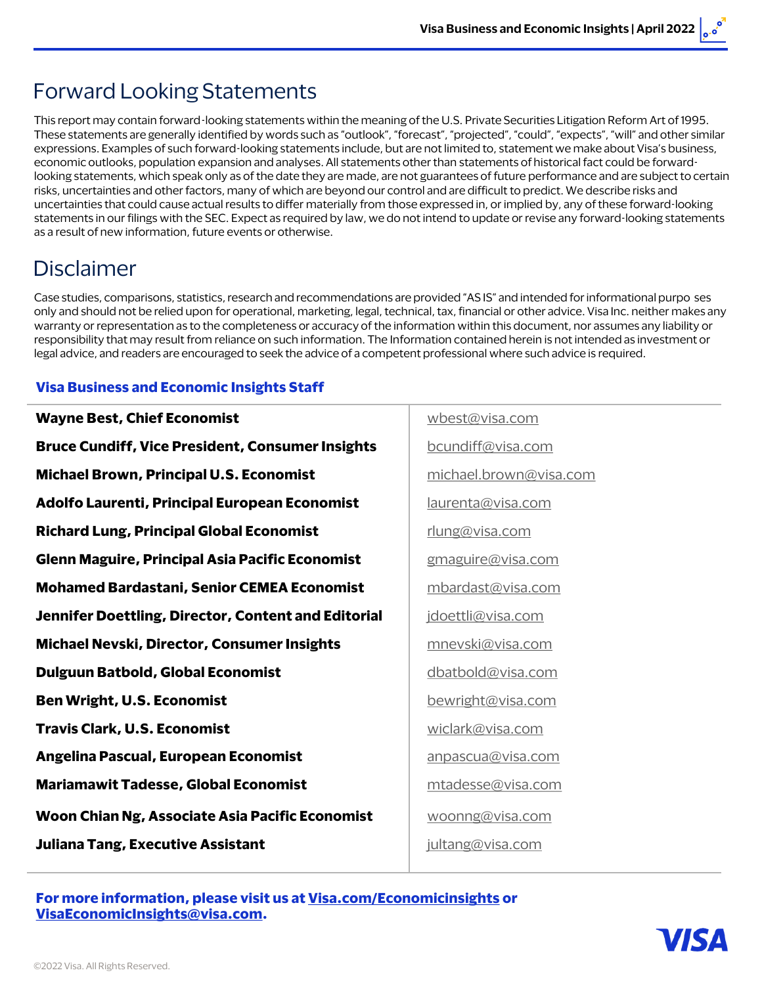### Forward Looking Statements

This report may contain forward-looking statements within the meaning of the U.S. Private Securities Litigation Reform Art of 1995. These statements are generally identified by words such as "outlook", "forecast", "projected", "could", "expects", "will" and other similar expressions. Examples of such forward-looking statements include, but are not limited to, statement we make about Visa's business, economic outlooks, population expansion and analyses. All statements other than statements of historical fact could be forwardlooking statements, which speak only as of the date they are made, are not guarantees of future performance and are subject to certain risks, uncertainties and other factors, many of which are beyond our control and are difficult to predict. We describe risks and uncertainties that could cause actual results to differ materially from those expressed in, or implied by, any of these forward-looking statements in our filings with the SEC. Expect as required by law, we do not intend to update or revise any forward-looking statements as a result of new information, future events or otherwise.

### Disclaimer

Case studies, comparisons, statistics, research and recommendations are provided "AS IS" and intended for informational purpo ses only and should not be relied upon for operational, marketing, legal, technical, tax, financial or other advice. Visa Inc. neither makes any warranty or representation as to the completeness or accuracy of the information within this document, nor assumes any liability or responsibility that may result from reliance on such information. The Information contained herein is not intended as investment or legal advice, and readers are encouraged to seek the advice of a competent professional where such advice is required.

#### **Visa Business and Economic Insights Staff**

| <b>Wayne Best, Chief Economist</b>                      | wbest@visa.com         |  |  |  |  |
|---------------------------------------------------------|------------------------|--|--|--|--|
| <b>Bruce Cundiff, Vice President, Consumer Insights</b> | bcundiff@visa.com      |  |  |  |  |
| <b>Michael Brown, Principal U.S. Economist</b>          | michael.brown@visa.com |  |  |  |  |
| Adolfo Laurenti, Principal European Economist           | laurenta@visa.com      |  |  |  |  |
| <b>Richard Lung, Principal Global Economist</b>         | rlung@visa.com         |  |  |  |  |
| <b>Glenn Maguire, Principal Asia Pacific Economist</b>  | gmaguire@visa.com      |  |  |  |  |
| <b>Mohamed Bardastani, Senior CEMEA Economist</b>       | mbardast@visa.com      |  |  |  |  |
| Jennifer Doettling, Director, Content and Editorial     | jdoettli@visa.com      |  |  |  |  |
| <b>Michael Nevski, Director, Consumer Insights</b>      | mnevski@visa.com       |  |  |  |  |
| <b>Dulguun Batbold, Global Economist</b>                | dbatbold@visa.com      |  |  |  |  |
| <b>Ben Wright, U.S. Economist</b>                       | bewright@visa.com      |  |  |  |  |
| <b>Travis Clark, U.S. Economist</b>                     | wiclark@visa.com       |  |  |  |  |
| Angelina Pascual, European Economist                    | anpascua@visa.com      |  |  |  |  |
| <b>Mariamawit Tadesse, Global Economist</b>             | mtadesse@visa.com      |  |  |  |  |
| Woon Chian Ng, Associate Asia Pacific Economist         | woonng@visa.com        |  |  |  |  |
| <b>Juliana Tang, Executive Assistant</b>                | jultang@visa.com       |  |  |  |  |
|                                                         |                        |  |  |  |  |

**For more information, please visit us at [Visa.com/Economicinsights](http://www.visa.com/EconomicInsights) or [VisaEconomicInsights@visa.com.](mailto:VisaEconomicInsights@visa.com)**